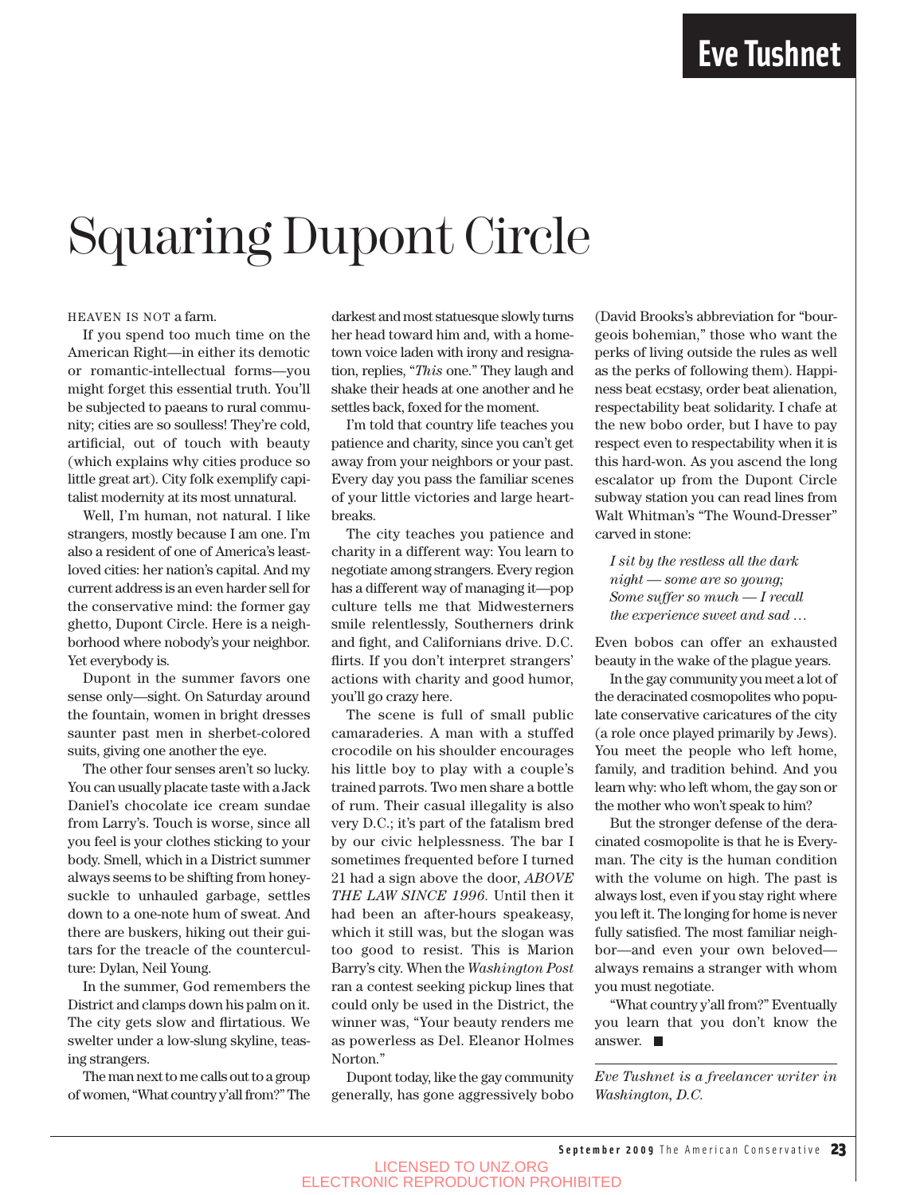## Squaring Dupont Circle

#### HEAVEN IS NOT a farm.

If you spend too much time on the American Right—in either its demotic or romantic-intellectual forms—you might forget this essential truth. You'll be subjected to paeans to rural community; cities are so soulless! They're cold, artificial, out of touch with beauty (which explains why cities produce so little great art). City folk exemplify capitalist modernity at its most unnatural.

Well, I'm human, not natural. I like strangers, mostly because I am one. I'm also a resident of one of America's leastloved cities: her nation's capital. And my current address is an even harder sell for the conservative mind: the former gay ghetto, Dupont Circle. Here is a neighborhood where nobody's your neighbor. Yet everybody is.

Dupont in the summer favors one sense only—sight. On Saturday around the fountain, women in bright dresses saunter past men in sherbet-colored suits, giving one another the eye.

The other four senses aren't so lucky. You can usually placate taste with a Jack Daniel's chocolate ice cream sundae from Larry's. Touch is worse, since all you feel is your clothes sticking to your body. Smell, which in a District summer always seems to be shifting from honeysuckle to unhauled garbage, settles down to a one-note hum of sweat. And there are buskers, hiking out their guitars for the treacle of the counterculture: Dylan, Neil Young.

In the summer, God remembers the District and clamps down his palm on it. The city gets slow and flirtatious. We swelter under a low-slung skyline, teasing strangers.

The man next to me calls out to a group of women, "What country y'all from?" The

darkest and most statuesque slowly turns her head toward him and, with a hometown voice laden with irony and resignation, replies, "*This* one." They laugh and shake their heads at one another and he settles back, foxed for the moment.

I'm told that country life teaches you patience and charity, since you can't get away from your neighbors or your past. Every day you pass the familiar scenes of your little victories and large heartbreaks.

The city teaches you patience and charity in a different way: You learn to negotiate among strangers. Every region has a different way of managing it—pop culture tells me that Midwesterners smile relentlessly, Southerners drink and fight, and Californians drive. D.C. flirts. If you don't interpret strangers' actions with charity and good humor, you'll go crazy here.

The scene is full of small public camaraderies. A man with a stuffed crocodile on his shoulder encourages his little boy to play with a couple's trained parrots. Two men share a bottle of rum. Their casual illegality is also very D.C.; it's part of the fatalism bred by our civic helplessness. The bar I sometimes frequented before I turned 21 had a sign above the door, *ABOVE THE LAW SINCE 1996.* Until then it had been an after-hours speakeasy, which it still was, but the slogan was too good to resist. This is Marion Barry's city. When the *Washington Post* ran a contest seeking pickup lines that could only be used in the District, the winner was, "Your beauty renders me as powerless as Del. Eleanor Holmes Norton."

Dupont today, like the gay community generally, has gone aggressively bobo (David Brooks's abbreviation for "bourgeois bohemian," those who want the perks of living outside the rules as well as the perks of following them). Happiness beat ecstasy, order beat alienation, respectability beat solidarity. I chafe at the new bobo order, but I have to pay respect even to respectability when it is this hard-won. As you ascend the long escalator up from the Dupont Circle subway station you can read lines from Walt Whitman's "The Wound-Dresser" carved in stone:

*I sit by the restless all the dark night — some are so young; Some suffer so much — I recall the experience sweet and sad …*

Even bobos can offer an exhausted beauty in the wake of the plague years.

In the gay community you meet a lot of the deracinated cosmopolites who populate conservative caricatures of the city (a role once played primarily by Jews). You meet the people who left home, family, and tradition behind. And you learn why: who left whom, the gay son or the mother who won't speak to him?

But the stronger defense of the deracinated cosmopolite is that he is Everyman. The city is the human condition with the volume on high. The past is always lost, even if you stay right where you left it. The longing for home is never fully satisfied. The most familiar neighbor—and even your own beloved always remains a stranger with whom you must negotiate.

"What country y'all from?" Eventually you learn that you don't know the answer.

*Eve Tushnet is a freelancer writer in Washington, D.C.*